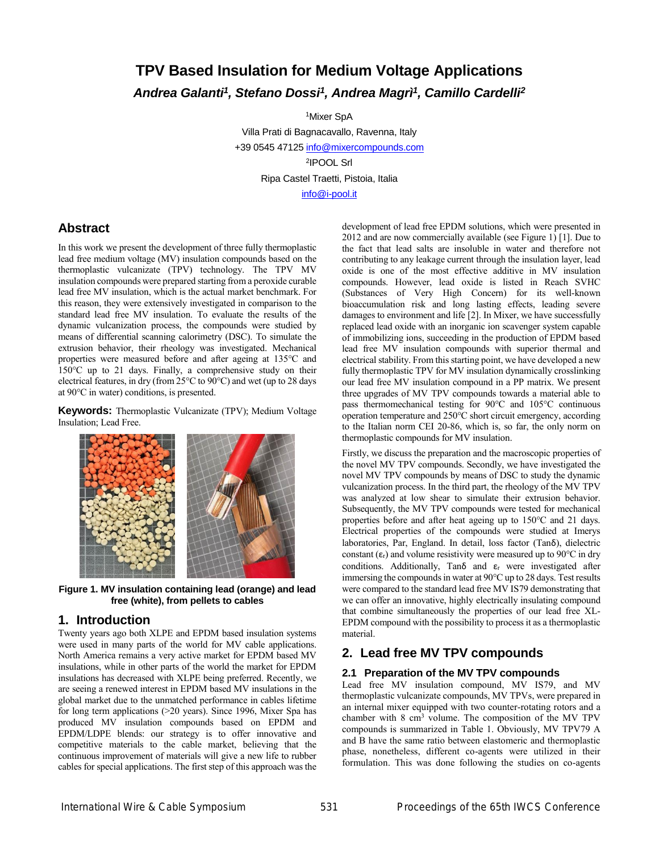# **TPV Based Insulation for Medium Voltage Applications** *Andrea Galanti<sup>1</sup> , Stefano Dossi<sup>1</sup> , Andrea Magrì<sup>1</sup> , Camillo Cardelli<sup>2</sup>*

<sup>1</sup>Mixer SpA

Villa Prati di Bagnacavallo, Ravenna, Italy +39 0545 4712[5 info@mixercompounds.com](mailto:info@mixercompounds.com) 2 IPOOL Srl Ripa Castel Traetti, Pistoia, Italia [info@i-pool.it](mailto:info@i-pool.it)

**Abstract**

In this work we present the development of three fully thermoplastic lead free medium voltage (MV) insulation compounds based on the thermoplastic vulcanizate (TPV) technology. The TPV MV insulation compounds were prepared starting from a peroxide curable lead free MV insulation, which is the actual market benchmark. For this reason, they were extensively investigated in comparison to the standard lead free MV insulation. To evaluate the results of the dynamic vulcanization process, the compounds were studied by means of differential scanning calorimetry (DSC). To simulate the extrusion behavior, their rheology was investigated. Mechanical properties were measured before and after ageing at 135°C and 150°C up to 21 days. Finally, a comprehensive study on their electrical features, in dry (from 25°C to 90°C) and wet (up to 28 days at 90°C in water) conditions, is presented.

**Keywords:** Thermoplastic Vulcanizate (TPV); Medium Voltage Insulation; Lead Free.



**Figure 1. MV insulation containing lead (orange) and lead free (white), from pellets to cables** 

# **1. Introduction**

Twenty years ago both XLPE and EPDM based insulation systems were used in many parts of the world for MV cable applications. North America remains a very active market for EPDM based MV insulations, while in other parts of the world the market for EPDM insulations has decreased with XLPE being preferred. Recently, we are seeing a renewed interest in EPDM based MV insulations in the global market due to the unmatched performance in cables lifetime for long term applications (>20 years). Since 1996, Mixer Spa has produced MV insulation compounds based on EPDM and EPDM/LDPE blends: our strategy is to offer innovative and competitive materials to the cable market, believing that the continuous improvement of materials will give a new life to rubber cables for special applications. The first step of this approach was the

development of lead free EPDM solutions, which were presented in 2012 and are now commercially available (see Figure 1) [1]. Due to the fact that lead salts are insoluble in water and therefore not contributing to any leakage current through the insulation layer, lead oxide is one of the most effective additive in MV insulation compounds. However, lead oxide is listed in Reach SVHC (Substances of Very High Concern) for its well-known bioaccumulation risk and long lasting effects, leading severe damages to environment and life [2]. In Mixer, we have successfully replaced lead oxide with an inorganic ion scavenger system capable of immobilizing ions, succeeding in the production of EPDM based lead free MV insulation compounds with superior thermal and electrical stability. From this starting point, we have developed a new fully thermoplastic TPV for MV insulation dynamically crosslinking our lead free MV insulation compound in a PP matrix. We present three upgrades of MV TPV compounds towards a material able to pass thermomechanical testing for 90°C and 105°C continuous operation temperature and 250°C short circuit emergency, according to the Italian norm CEI 20-86, which is, so far, the only norm on thermoplastic compounds for MV insulation.

Firstly, we discuss the preparation and the macroscopic properties of the novel MV TPV compounds. Secondly, we have investigated the novel MV TPV compounds by means of DSC to study the dynamic vulcanization process. In the third part, the rheology of the MV TPV was analyzed at low shear to simulate their extrusion behavior. Subsequently, the MV TPV compounds were tested for mechanical properties before and after heat ageing up to 150°C and 21 days. Electrical properties of the compounds were studied at Imerys laboratories, Par, England. In detail, loss factor (Tanδ), dielectric constant  $(\epsilon_{r})$  and volume resistivity were measured up to 90 $\degree$ C in dry conditions. Additionally, Tano and  $\varepsilon_r$  were investigated after immersing the compounds in water at 90°C up to 28 days. Test results were compared to the standard lead free MV IS79 demonstrating that we can offer an innovative, highly electrically insulating compound that combine simultaneously the properties of our lead free XL-EPDM compound with the possibility to process it as a thermoplastic material.

# **2. Lead free MV TPV compounds**

# **2.1 Preparation of the MV TPV compounds**

Lead free MV insulation compound, MV IS79, and MV thermoplastic vulcanizate compounds, MV TPVs, were prepared in an internal mixer equipped with two counter-rotating rotors and a chamber with 8 cm<sup>3</sup> volume. The composition of the MV TPV compounds is summarized in Table 1. Obviously, MV TPV79 A and B have the same ratio between elastomeric and thermoplastic phase, nonetheless, different co-agents were utilized in their formulation. This was done following the studies on co-agents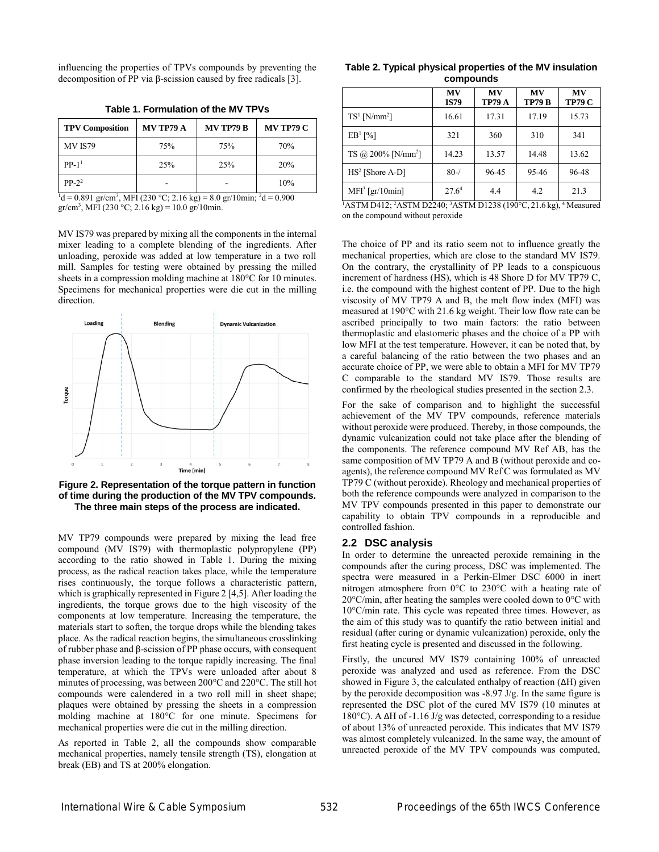influencing the properties of TPVs compounds by preventing the decomposition of PP via β-scission caused by free radicals [3].

**Table 1. Formulation of the MV TPVs**

| <b>TPV Composition</b> | <b>MV TP79 A</b> | <b>MV TP79 B</b> | <b>MV TP79 C</b> |  |
|------------------------|------------------|------------------|------------------|--|
| <b>MV IS79</b>         | 75%              | 75%              | 70%              |  |
| $PP-1$ <sup>1</sup>    | 25%              | 25%              | 20%              |  |
| $PP-2^2$               |                  |                  | 10%              |  |

 $^{1}$ d = 0.891 gr/cm<sup>3</sup>, MFI (230 °C; 2.16 kg) = 8.0 gr/10min; <sup>2</sup>d = 0.900  $gr/cm^3$ , MFI (230 °C; 2.16 kg) = 10.0 gr/10min.

MV IS79 was prepared by mixing all the components in the internal mixer leading to a complete blending of the ingredients. After unloading, peroxide was added at low temperature in a two roll mill. Samples for testing were obtained by pressing the milled sheets in a compression molding machine at 180°C for 10 minutes. Specimens for mechanical properties were die cut in the milling direction.



**Figure 2. Representation of the torque pattern in function of time during the production of the MV TPV compounds. The three main steps of the process are indicated.**

MV TP79 compounds were prepared by mixing the lead free compound (MV IS79) with thermoplastic polypropylene (PP) according to the ratio showed in Table 1. During the mixing process, as the radical reaction takes place, while the temperature rises continuously, the torque follows a characteristic pattern, which is graphically represented in Figure 2 [4,5]. After loading the ingredients, the torque grows due to the high viscosity of the components at low temperature. Increasing the temperature, the materials start to soften, the torque drops while the blending takes place. As the radical reaction begins, the simultaneous crosslinking of rubber phase and β-scission of PP phase occurs, with consequent phase inversion leading to the torque rapidly increasing. The final temperature, at which the TPVs were unloaded after about 8 minutes of processing, was between 200°C and 220°C. The still hot compounds were calendered in a two roll mill in sheet shape; plaques were obtained by pressing the sheets in a compression molding machine at 180°C for one minute. Specimens for mechanical properties were die cut in the milling direction.

As reported in Table 2, all the compounds show comparable mechanical properties, namely tensile strength (TS), elongation at break (EB) and TS at 200% elongation.

#### **Table 2. Typical physical properties of the MV insulation compounds**

|                                  | MV<br><b>IS79</b> | MV<br>TP79 A | MV<br><b>TP79 B</b> | MV<br><b>TP79 C</b> |
|----------------------------------|-------------------|--------------|---------------------|---------------------|
| $TS^1$ [N/mm <sup>2</sup> ]      | 16.61             | 17.31        | 17.19               | 15.73               |
| EB <sup>1</sup> [%]              | 321               | 360          | 310                 | 341                 |
| $TS$ @ 200% [N/mm <sup>2</sup> ] | 14.23             | 13.57        | 14.48               | 13.62               |
| $HS2$ [Shore A-D]                | $80 - /$          | 96-45        | 95-46               | 96-48               |
| $MFI3$ [gr/10min]                | 27.6 <sup>4</sup> | 4.4          | 4.2                 | 21.3                |

<sup>1</sup>ASTM D412; <sup>2</sup>ASTM D2240; <sup>3</sup>ASTM D1238 (190°C, 21.6 kg), <sup>4</sup> Measured on the compound without peroxide

The choice of PP and its ratio seem not to influence greatly the mechanical properties, which are close to the standard MV IS79. On the contrary, the crystallinity of PP leads to a conspicuous increment of hardness (HS), which is 48 Shore D for MV TP79 C, i.e. the compound with the highest content of PP. Due to the high viscosity of MV TP79 A and B, the melt flow index (MFI) was measured at 190°C with 21.6 kg weight. Their low flow rate can be ascribed principally to two main factors: the ratio between thermoplastic and elastomeric phases and the choice of a PP with low MFI at the test temperature. However, it can be noted that, by a careful balancing of the ratio between the two phases and an accurate choice of PP, we were able to obtain a MFI for MV TP79 C comparable to the standard MV IS79. Those results are confirmed by the rheological studies presented in the section 2.3.

For the sake of comparison and to highlight the successful achievement of the MV TPV compounds, reference materials without peroxide were produced. Thereby, in those compounds, the dynamic vulcanization could not take place after the blending of the components. The reference compound MV Ref AB, has the same composition of MV TP79 A and B (without peroxide and coagents), the reference compound MV Ref C was formulated as MV TP79 C (without peroxide). Rheology and mechanical properties of both the reference compounds were analyzed in comparison to the MV TPV compounds presented in this paper to demonstrate our capability to obtain TPV compounds in a reproducible and controlled fashion.

#### **2.2 DSC analysis**

In order to determine the unreacted peroxide remaining in the compounds after the curing process, DSC was implemented. The spectra were measured in a Perkin-Elmer DSC 6000 in inert nitrogen atmosphere from 0°C to 230°C with a heating rate of 20°C/min, after heating the samples were cooled down to 0°C with 10°C/min rate. This cycle was repeated three times. However, as the aim of this study was to quantify the ratio between initial and residual (after curing or dynamic vulcanization) peroxide, only the first heating cycle is presented and discussed in the following.

Firstly, the uncured MV IS79 containing 100% of unreacted peroxide was analyzed and used as reference. From the DSC showed in Figure 3, the calculated enthalpy of reaction (ΔH) given by the peroxide decomposition was -8.97 J/g. In the same figure is represented the DSC plot of the cured MV IS79 (10 minutes at 180°C). A ΔH of -1.16 J/g was detected, corresponding to a residue of about 13% of unreacted peroxide. This indicates that MV IS79 was almost completely vulcanized. In the same way, the amount of unreacted peroxide of the MV TPV compounds was computed,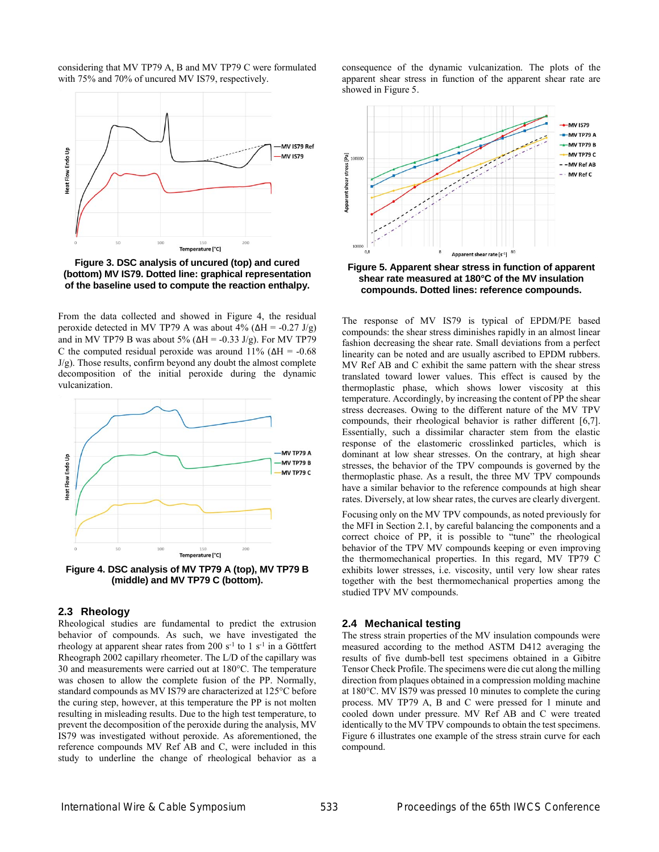considering that MV TP79 A, B and MV TP79 C were formulated with 75% and 70% of uncured MV IS79, respectively.



**Figure 3. DSC analysis of uncured (top) and cured (bottom) MV IS79. Dotted line: graphical representation of the baseline used to compute the reaction enthalpy.**

From the data collected and showed in Figure 4, the residual peroxide detected in MV TP79 A was about  $4\%$  ( $\Delta H = -0.27$  J/g) and in MV TP79 B was about 5% ( $\Delta H = -0.33$  J/g). For MV TP79 C the computed residual peroxide was around 11% ( $\Delta H = -0.68$ ) J/g). Those results, confirm beyond any doubt the almost complete decomposition of the initial peroxide during the dynamic vulcanization.



**Figure 4. DSC analysis of MV TP79 A (top), MV TP79 B (middle) and MV TP79 C (bottom).**

#### **2.3 Rheology**

Rheological studies are fundamental to predict the extrusion behavior of compounds. As such, we have investigated the rheology at apparent shear rates from  $200 s<sup>-1</sup>$  to  $1 s<sup>-1</sup>$  in a Göttfert Rheograph 2002 capillary rheometer. The L/D of the capillary was 30 and measurements were carried out at 180°C. The temperature was chosen to allow the complete fusion of the PP. Normally, standard compounds as MV IS79 are characterized at 125°C before the curing step, however, at this temperature the PP is not molten resulting in misleading results. Due to the high test temperature, to prevent the decomposition of the peroxide during the analysis, MV IS79 was investigated without peroxide. As aforementioned, the reference compounds MV Ref AB and C, were included in this study to underline the change of rheological behavior as a

consequence of the dynamic vulcanization. The plots of the apparent shear stress in function of the apparent shear rate are showed in Figure 5.



**Figure 5. Apparent shear stress in function of apparent shear rate measured at 180°C of the MV insulation compounds. Dotted lines: reference compounds.**

The response of MV IS79 is typical of EPDM/PE based compounds: the shear stress diminishes rapidly in an almost linear fashion decreasing the shear rate. Small deviations from a perfect linearity can be noted and are usually ascribed to EPDM rubbers. MV Ref AB and C exhibit the same pattern with the shear stress translated toward lower values. This effect is caused by the thermoplastic phase, which shows lower viscosity at this temperature. Accordingly, by increasing the content of PP the shear stress decreases. Owing to the different nature of the MV TPV compounds, their rheological behavior is rather different [6,7]. Essentially, such a dissimilar character stem from the elastic response of the elastomeric crosslinked particles, which is dominant at low shear stresses. On the contrary, at high shear stresses, the behavior of the TPV compounds is governed by the thermoplastic phase. As a result, the three MV TPV compounds have a similar behavior to the reference compounds at high shear rates. Diversely, at low shear rates, the curves are clearly divergent.

Focusing only on the MV TPV compounds, as noted previously for the MFI in Section 2.1, by careful balancing the components and a correct choice of PP, it is possible to "tune" the rheological behavior of the TPV MV compounds keeping or even improving the thermomechanical properties. In this regard, MV TP79 C exhibits lower stresses, i.e. viscosity, until very low shear rates together with the best thermomechanical properties among the studied TPV MV compounds.

#### **2.4 Mechanical testing**

The stress strain properties of the MV insulation compounds were measured according to the method ASTM D412 averaging the results of five dumb-bell test specimens obtained in a Gibitre Tensor Check Profile. The specimens were die cut along the milling direction from plaques obtained in a compression molding machine at 180°C. MV IS79 was pressed 10 minutes to complete the curing process. MV TP79 A, B and C were pressed for 1 minute and cooled down under pressure. MV Ref AB and C were treated identically to the MV TPV compounds to obtain the test specimens. Figure 6 illustrates one example of the stress strain curve for each compound.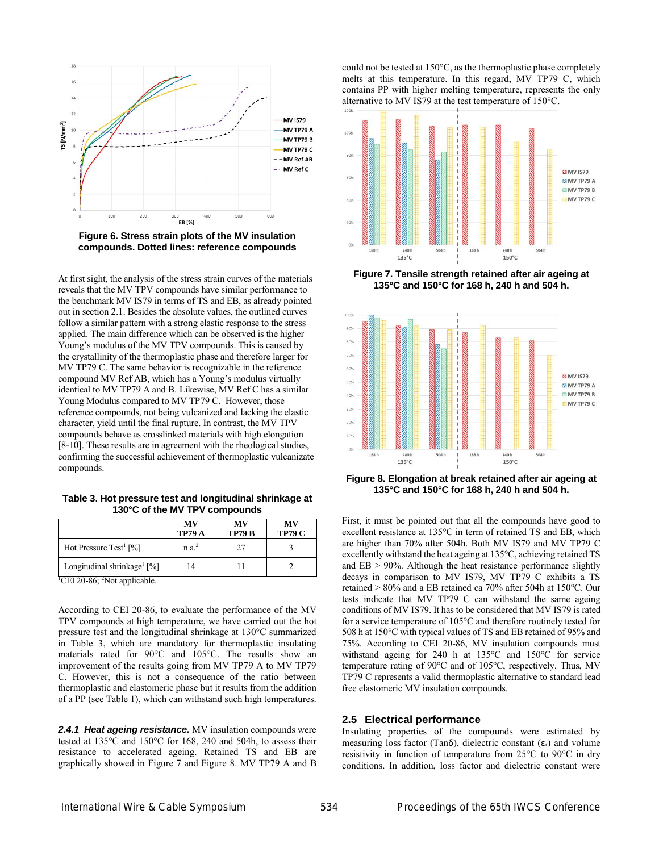



At first sight, the analysis of the stress strain curves of the materials reveals that the MV TPV compounds have similar performance to the benchmark MV IS79 in terms of TS and EB, as already pointed out in section 2.1. Besides the absolute values, the outlined curves follow a similar pattern with a strong elastic response to the stress applied. The main difference which can be observed is the higher Young's modulus of the MV TPV compounds. This is caused by the crystallinity of the thermoplastic phase and therefore larger for MV TP79 C. The same behavior is recognizable in the reference compound MV Ref AB, which has a Young's modulus virtually identical to MV TP79 A and B. Likewise, MV Ref C has a similar Young Modulus compared to MV TP79 C. However, those reference compounds, not being vulcanized and lacking the elastic character, yield until the final rupture. In contrast, the MV TPV compounds behave as crosslinked materials with high elongation [8-10]. These results are in agreement with the rheological studies, confirming the successful achievement of thermoplastic vulcanizate compounds.

**Table 3. Hot pressure test and longitudinal shrinkage at 130°C of the MV TPV compounds**

|                                                      | MV<br><b>TP79 A</b> | MV<br><b>TP79 B</b> | MV<br><b>TP79 C</b> |
|------------------------------------------------------|---------------------|---------------------|---------------------|
| Hot Pressure Test <sup>1</sup> [%]                   | n.a. <sup>2</sup>   | 27                  |                     |
| Longitudinal shrinkage <sup>1</sup> [%]              | 14                  |                     |                     |
| <sup>1</sup> CEI 20-86; <sup>2</sup> Not applicable. |                     |                     |                     |

According to CEI 20-86, to evaluate the performance of the MV TPV compounds at high temperature, we have carried out the hot pressure test and the longitudinal shrinkage at 130°C summarized in Table 3, which are mandatory for thermoplastic insulating materials rated for 90°C and 105°C. The results show an improvement of the results going from MV TP79 A to MV TP79 C. However, this is not a consequence of the ratio between thermoplastic and elastomeric phase but it results from the addition of a PP (see Table 1), which can withstand such high temperatures.

*2.4.1 Heat ageing resistance.* MV insulation compounds were tested at 135°C and 150°C for 168, 240 and 504h, to assess their resistance to accelerated ageing. Retained TS and EB are graphically showed in Figure 7 and Figure 8. MV TP79 A and B

could not be tested at 150°C, as the thermoplastic phase completely melts at this temperature. In this regard, MV TP79 C, which contains PP with higher melting temperature, represents the only alternative to MV IS79 at the test temperature of 150°C.



**Figure 7. Tensile strength retained after air ageing at 135°C and 150°C for 168 h, 240 h and 504 h.**



**Figure 8. Elongation at break retained after air ageing at 135°C and 150°C for 168 h, 240 h and 504 h.**

First, it must be pointed out that all the compounds have good to excellent resistance at 135°C in term of retained TS and EB, which are higher than 70% after 504h. Both MV IS79 and MV TP79 C excellently withstand the heat ageing at 135°C, achieving retained TS and  $EB$  > 90%. Although the heat resistance performance slightly decays in comparison to MV IS79, MV TP79 C exhibits a TS retained > 80% and a EB retained ca 70% after 504h at 150°C. Our tests indicate that MV TP79 C can withstand the same ageing conditions of MV IS79. It has to be considered that MV IS79 is rated for a service temperature of 105°C and therefore routinely tested for 508 h at 150°C with typical values of TS and EB retained of 95% and 75%. According to CEI 20-86, MV insulation compounds must withstand ageing for 240 h at 135°C and 150°C for service temperature rating of 90°C and of 105°C, respectively. Thus, MV TP79 C represents a valid thermoplastic alternative to standard lead free elastomeric MV insulation compounds.

#### **2.5 Electrical performance**

Insulating properties of the compounds were estimated by measuring loss factor (Tan $\delta$ ), dielectric constant ( $\varepsilon$ <sub>r</sub>) and volume resistivity in function of temperature from 25°C to 90°C in dry conditions. In addition, loss factor and dielectric constant were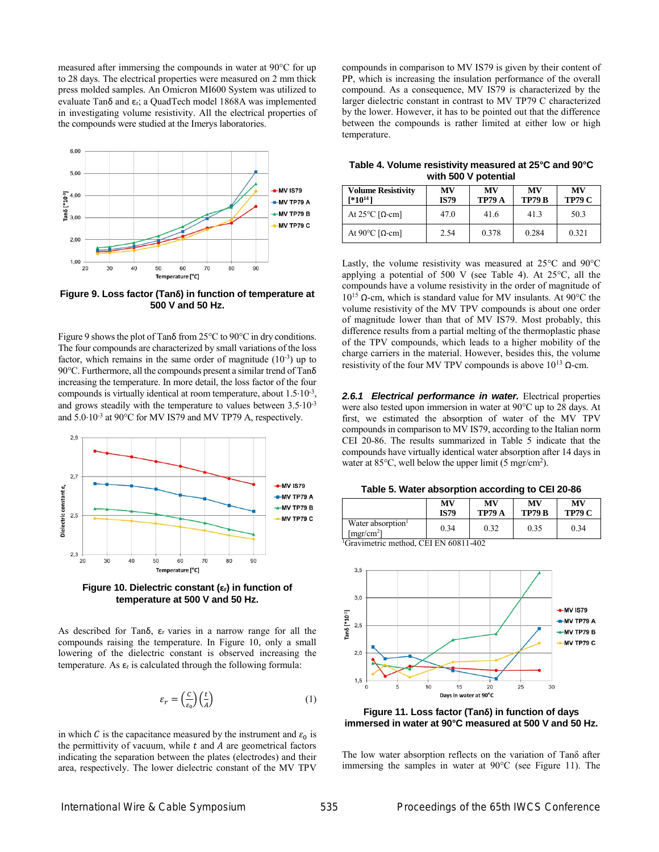measured after immersing the compounds in water at 90°C for up to 28 days. The electrical properties were measured on 2 mm thick press molded samples. An Omicron MI600 System was utilized to evaluate Tan $\delta$  and  $\varepsilon$ <sub>r</sub>; a QuadTech model 1868A was implemented in investigating volume resistivity. All the electrical properties of the compounds were studied at the Imerys laboratories.



**Figure 9. Loss factor (Tanδ) in function of temperature at 500 V and 50 Hz.**

Figure 9 shows the plot of Tanδ from 25°C to 90°C in dry conditions. The four compounds are characterized by small variations of the loss factor, which remains in the same order of magnitude  $(10^{-3})$  up to 90°C. Furthermore, all the compounds present a similar trend of Tanδ increasing the temperature. In more detail, the loss factor of the four compounds is virtually identical at room temperature, about 1.5∙10-3 , and grows steadily with the temperature to values between 3.5∙10-3 and 5.0∙10-3 at 90°C for MV IS79 and MV TP79 A, respectively.



**Figure 10. Dielectric constant (εr) in function of temperature at 500 V and 50 Hz.**

As described for Tan $\delta$ ,  $\varepsilon$ <sub>r</sub> varies in a narrow range for all the compounds raising the temperature. In Figure 10, only a small lowering of the dielectric constant is observed increasing the temperature. As  $\varepsilon_r$  is calculated through the following formula:

$$
\varepsilon_r = \left(\frac{c}{\varepsilon_0}\right) \left(\frac{t}{A}\right) \tag{1}
$$

in which C is the capacitance measured by the instrument and  $\varepsilon_0$  is the permittivity of vacuum, while  $t$  and  $\overline{A}$  are geometrical factors indicating the separation between the plates (electrodes) and their area, respectively. The lower dielectric constant of the MV TPV

compounds in comparison to MV IS79 is given by their content of PP, which is increasing the insulation performance of the overall compound. As a consequence, MV IS79 is characterized by the larger dielectric constant in contrast to MV TP79 C characterized by the lower. However, it has to be pointed out that the difference between the compounds is rather limited at either low or high temperature.

**Table 4. Volume resistivity measured at 25°C and 90°C with 500 V potential**

| <b>Volume Resistivity</b><br>$[*10^{14}]$ | MV<br><b>IS79</b> | MV<br><b>TP79 A</b> | MV<br><b>TP79 B</b> | MV<br><b>TP79 C</b> |
|-------------------------------------------|-------------------|---------------------|---------------------|---------------------|
| At $25^{\circ}$ C [Q-cm]                  | 47.0              | 41.6                | 41.3                | 50.3                |
| At 90 $°C$ [Ω-cm]                         | 2.54              | 0.378               | 0.284               | 0.321               |

Lastly, the volume resistivity was measured at 25°C and 90°C applying a potential of 500 V (see Table 4). At 25°C, all the compounds have a volume resistivity in the order of magnitude of 10<sup>15</sup> Ω-cm, which is standard value for MV insulants. At 90°C the volume resistivity of the MV TPV compounds is about one order of magnitude lower than that of MV IS79. Most probably, this difference results from a partial melting of the thermoplastic phase of the TPV compounds, which leads to a higher mobility of the charge carriers in the material. However, besides this, the volume resistivity of the four MV TPV compounds is above  $10^{13}$  Ω-cm.

*2.6.1 Electrical performance in water.* Electrical properties were also tested upon immersion in water at 90°C up to 28 days. At first, we estimated the absorption of water of the MV TPV compounds in comparison to MV IS79, according to the Italian norm CEI 20-86. The results summarized in Table 5 indicate that the compounds have virtually identical water absorption after 14 days in water at  $85^{\circ}$ C, well below the upper limit (5 mgr/cm<sup>2</sup>).

**Table 5. Water absorption according to CEI 20-86**

|                                                         | MV          | МV            | MV            | MV            |
|---------------------------------------------------------|-------------|---------------|---------------|---------------|
|                                                         | <b>IS79</b> | <b>TP79 A</b> | <b>TP79 B</b> | <b>TP79 C</b> |
| Water absorption <sup>1</sup><br>[mgr/cm <sup>2</sup> ] | 0.34        | 0.32          | 0.35          | 0.34          |

<sup>1</sup>Gravimetric method, CEI EN 60811-402



**Figure 11. Loss factor (Tanδ) in function of days immersed in water at 90°C measured at 500 V and 50 Hz.**

The low water absorption reflects on the variation of Tanδ after immersing the samples in water at 90°C (see Figure 11). The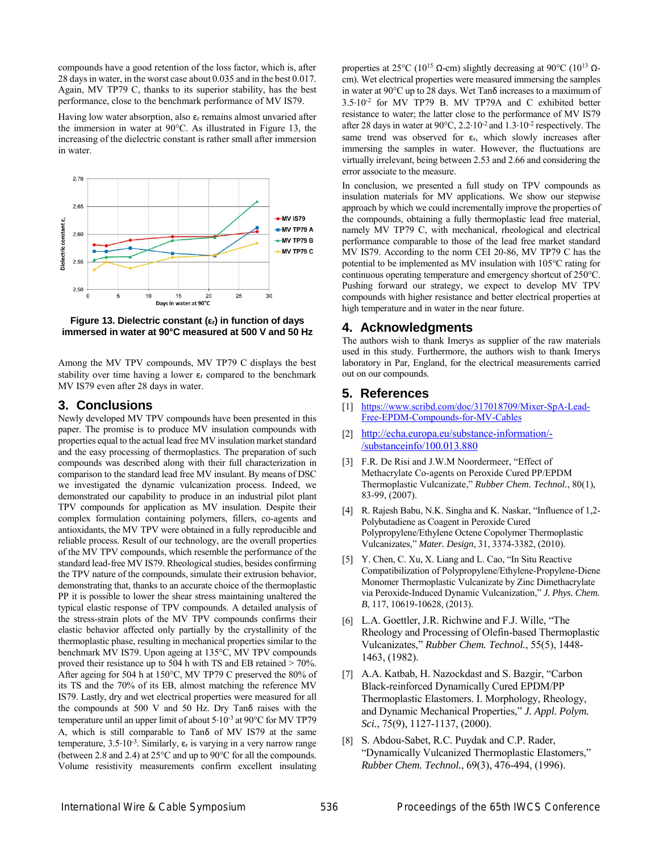compounds have a good retention of the loss factor, which is, after 28 days in water, in the worst case about 0.035 and in the best 0.017. Again, MV TP79 C, thanks to its superior stability, has the best performance, close to the benchmark performance of MV IS79.

Having low water absorption, also  $\varepsilon$ <sub>r</sub> remains almost unvaried after the immersion in water at 90°C. As illustrated in Figure 13, the increasing of the dielectric constant is rather small after immersion in water.



**Figure 13. Dielectric constant (εr) in function of days immersed in water at 90°C measured at 500 V and 50 Hz**

Among the MV TPV compounds, MV TP79 C displays the best stability over time having a lower  $\varepsilon_r$  compared to the benchmark MV IS79 even after 28 days in water.

### **3. Conclusions**

Newly developed MV TPV compounds have been presented in this paper. The promise is to produce MV insulation compounds with properties equal to the actual lead free MV insulation market standard and the easy processing of thermoplastics. The preparation of such compounds was described along with their full characterization in comparison to the standard lead free MV insulant. By means of DSC we investigated the dynamic vulcanization process. Indeed, we demonstrated our capability to produce in an industrial pilot plant TPV compounds for application as MV insulation. Despite their complex formulation containing polymers, fillers, co-agents and antioxidants, the MV TPV were obtained in a fully reproducible and reliable process. Result of our technology, are the overall properties of the MV TPV compounds, which resemble the performance of the standard lead-free MV IS79. Rheological studies, besides confirming the TPV nature of the compounds, simulate their extrusion behavior, demonstrating that, thanks to an accurate choice of the thermoplastic PP it is possible to lower the shear stress maintaining unaltered the typical elastic response of TPV compounds. A detailed analysis of the stress-strain plots of the MV TPV compounds confirms their elastic behavior affected only partially by the crystallinity of the thermoplastic phase, resulting in mechanical properties similar to the benchmark MV IS79. Upon ageing at 135°C, MV TPV compounds proved their resistance up to 504 h with TS and EB retained > 70%. After ageing for 504 h at 150°C, MV TP79 C preserved the 80% of its TS and the 70% of its EB, almost matching the reference MV IS79. Lastly, dry and wet electrical properties were measured for all the compounds at 500 V and 50 Hz. Dry Tanδ raises with the temperature until an upper limit of about 5∙10-3 at 90°C for MV TP79 A, which is still comparable to Tanδ of MV IS79 at the same temperature, 3.5⋅10<sup>-3</sup>. Similarly, ε<sub>r</sub> is varying in a very narrow range (between 2.8 and 2.4) at 25°C and up to 90°C for all the compounds. Volume resistivity measurements confirm excellent insulating

properties at 25°C (10<sup>15</sup> Ω-cm) slightly decreasing at 90°C (10<sup>13</sup> Ωcm). Wet electrical properties were measured immersing the samples in water at 90°C up to 28 days. Wet Tanδ increases to a maximum of 3.5∙10-2 for MV TP79 B. MV TP79A and C exhibited better resistance to water; the latter close to the performance of MV IS79 after 28 days in water at 90°C, 2.2∙10-2 and 1.3∙10-2 respectively. The same trend was observed for  $\varepsilon_r$ , which slowly increases after immersing the samples in water. However, the fluctuations are virtually irrelevant, being between 2.53 and 2.66 and considering the error associate to the measure.

In conclusion, we presented a full study on TPV compounds as insulation materials for MV applications. We show our stepwise approach by which we could incrementally improve the properties of the compounds, obtaining a fully thermoplastic lead free material, namely MV TP79 C, with mechanical, rheological and electrical performance comparable to those of the lead free market standard MV IS79. According to the norm CEI 20-86, MV TP79 C has the potential to be implemented as MV insulation with 105°C rating for continuous operating temperature and emergency shortcut of 250°C. Pushing forward our strategy, we expect to develop MV TPV compounds with higher resistance and better electrical properties at high temperature and in water in the near future.

## **4. Acknowledgments**

The authors wish to thank Imerys as supplier of the raw materials used in this study. Furthermore, the authors wish to thank Imerys laboratory in Par, England, for the electrical measurements carried out on our compounds.

#### **5. References**

- [1] [https://www.scribd.com/doc/317018709/Mixer-SpA-Lead-](https://www.scribd.com/doc/317018709/Mixer-SpA-Lead-Free-EPDM-Compounds-for-MV-Cables)[Free-EPDM-Compounds-for-MV-Cables](https://www.scribd.com/doc/317018709/Mixer-SpA-Lead-Free-EPDM-Compounds-for-MV-Cables)
- [2] [http://echa.europa.eu/substance-information/-](http://echa.europa.eu/substance-information/-/substanceinfo/100.013.880) [/substanceinfo/100.013.880](http://echa.europa.eu/substance-information/-/substanceinfo/100.013.880)
- [3] F.R. De Risi and J.W.M Noordermeer, "Effect of Methacrylate Co-agents on Peroxide Cured PP/EPDM Thermoplastic Vulcanizate," *Rubber Chem. Technol.*, 80(1), 83-99, (2007).
- [4] R. Rajesh Babu, N.K. Singha and K. Naskar, "Influence of 1,2- Polybutadiene as Coagent in Peroxide Cured Polypropylene/Ethylene Octene Copolymer Thermoplastic Vulcanizates," *Mater. Design*, 31, 3374-3382, (2010).
- [5] Y. Chen, C. Xu, X. Liang and L. Cao, "In Situ Reactive Compatibilization of Polypropylene/Ethylene-Propylene-Diene Monomer Thermoplastic Vulcanizate by Zinc Dimethacrylate via Peroxide-Induced Dynamic Vulcanization," *J. Phys. Chem. B*, 117, 10619-10628, (2013).
- [6] L.A. Goettler, J.R. Richwine and F.J. Wille, "The Rheology and Processing of Olefin-based Thermoplastic Vulcanizates," *Rubber Chem. Technol.*, 55(5), 1448- 1463, (1982).
- [7] A.A. Katbab, H. Nazockdast and S. Bazgir, "Carbon Black-reinforced Dynamically Cured EPDM/PP Thermoplastic Elastomers. I. Morphology, Rheology, and Dynamic Mechanical Properties," *J. Appl. Polym. Sci.*, 75(9), 1127-1137, (2000).
- [8] S. Abdou-Sabet, R.C. Puydak and C.P. Rader, "Dynamically Vulcanized Thermoplastic Elastomers," *Rubber Chem. Technol.*, 69(3), 476-494, (1996).